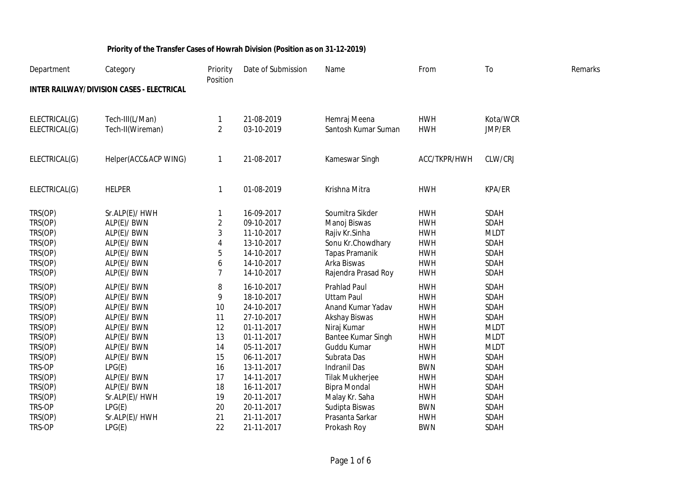| Department    | Category                                         | Priority<br>Position | Date of Submission | Name                   | From         | T <sub>o</sub> | Remarks |
|---------------|--------------------------------------------------|----------------------|--------------------|------------------------|--------------|----------------|---------|
|               | <b>INTER RAILWAY/DIVISION CASES - ELECTRICAL</b> |                      |                    |                        |              |                |         |
| ELECTRICAL(G) | Tech-III(L/Man)                                  | 1                    | 21-08-2019         | Hemraj Meena           | <b>HWH</b>   | Kota/WCR       |         |
| ELECTRICAL(G) | Tech-II(Wireman)                                 | $\overline{2}$       | 03-10-2019         | Santosh Kumar Suman    | <b>HWH</b>   | JMP/ER         |         |
| ELECTRICAL(G) | Helper(ACC&ACP WING)                             | 1                    | 21-08-2017         | Kameswar Singh         | ACC/TKPR/HWH | CLW/CRJ        |         |
| ELECTRICAL(G) | <b>HELPER</b>                                    | 1                    | 01-08-2019         | Krishna Mitra          | <b>HWH</b>   | KPA/ER         |         |
| TRS(OP)       | Sr.ALP(E)/ HWH                                   |                      | 16-09-2017         | Soumitra Sikder        | <b>HWH</b>   | SDAH           |         |
| TRS(OP)       | ALP(E)/ BWN                                      | 2                    | 09-10-2017         | Manoj Biswas           | <b>HWH</b>   | <b>SDAH</b>    |         |
| TRS(OP)       | ALP(E)/ BWN                                      | 3                    | 11-10-2017         | Rajiv Kr.Sinha         | <b>HWH</b>   | <b>MLDT</b>    |         |
| TRS(OP)       | ALP(E)/ BWN                                      | 4                    | 13-10-2017         | Sonu Kr.Chowdhary      | <b>HWH</b>   | SDAH           |         |
| TRS(OP)       | ALP(E)/ BWN                                      | 5                    | 14-10-2017         | <b>Tapas Pramanik</b>  | <b>HWH</b>   | SDAH           |         |
| TRS(OP)       | ALP(E)/ BWN                                      | 6                    | 14-10-2017         | Arka Biswas            | <b>HWH</b>   | SDAH           |         |
| TRS(OP)       | ALP(E)/ BWN                                      | 7                    | 14-10-2017         | Rajendra Prasad Roy    | <b>HWH</b>   | SDAH           |         |
| TRS(OP)       | ALP(E)/ BWN                                      | 8                    | 16-10-2017         | <b>Prahlad Paul</b>    | <b>HWH</b>   | SDAH           |         |
| TRS(OP)       | ALP(E)/ BWN                                      | 9                    | 18-10-2017         | <b>Uttam Paul</b>      | <b>HWH</b>   | SDAH           |         |
| TRS(OP)       | ALP(E)/ BWN                                      | 10                   | 24-10-2017         | Anand Kumar Yadav      | <b>HWH</b>   | SDAH           |         |
| TRS(OP)       | ALP(E)/ BWN                                      | 11                   | 27-10-2017         | Akshay Biswas          | <b>HWH</b>   | <b>SDAH</b>    |         |
| TRS(OP)       | ALP(E)/ BWN                                      | 12                   | 01-11-2017         | Niraj Kumar            | <b>HWH</b>   | <b>MLDT</b>    |         |
| TRS(OP)       | ALP(E)/ BWN                                      | 13                   | 01-11-2017         | Bantee Kumar Singh     | <b>HWH</b>   | <b>MLDT</b>    |         |
| TRS(OP)       | ALP(E)/ BWN                                      | 14                   | 05-11-2017         | Guddu Kumar            | <b>HWH</b>   | <b>MLDT</b>    |         |
| TRS(OP)       | ALP(E)/ BWN                                      | 15                   | 06-11-2017         | Subrata Das            | <b>HWH</b>   | SDAH           |         |
| TRS-OP        | LPG(E)                                           | 16                   | 13-11-2017         | <b>Indranil Das</b>    | <b>BWN</b>   | SDAH           |         |
| TRS(OP)       | ALP(E)/ BWN                                      | 17                   | 14-11-2017         | <b>Tilak Mukherjee</b> | <b>HWH</b>   | SDAH           |         |
| TRS(OP)       | ALP(E)/ BWN                                      | 18                   | 16-11-2017         | <b>Bipra Mondal</b>    | <b>HWH</b>   | SDAH           |         |
| TRS(OP)       | Sr.ALP(E)/ HWH                                   | 19                   | 20-11-2017         | Malay Kr. Saha         | <b>HWH</b>   | SDAH           |         |
| TRS-OP        | LPG(E)                                           | 20                   | 20-11-2017         | Sudipta Biswas         | <b>BWN</b>   | SDAH           |         |
| TRS(OP)       | Sr.ALP(E)/ HWH                                   | 21                   | 21-11-2017         | Prasanta Sarkar        | <b>HWH</b>   | SDAH           |         |
| TRS-OP        | LPG(E)                                           | 22                   | 21-11-2017         | Prokash Roy            | <b>BWN</b>   | SDAH           |         |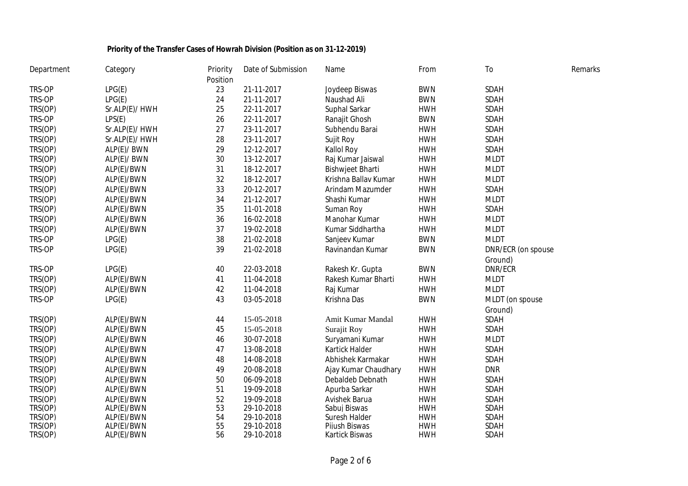| Department | Category       | Priority | Date of Submission | Name                    | From       | To                 | Remarks |
|------------|----------------|----------|--------------------|-------------------------|------------|--------------------|---------|
|            |                | Position |                    |                         |            |                    |         |
| TRS-OP     | LPG(E)         | 23       | 21-11-2017         | Joydeep Biswas          | <b>BWN</b> | SDAH               |         |
| TRS-OP     | LPG(E)         | 24       | 21-11-2017         | Naushad Ali             | <b>BWN</b> | SDAH               |         |
| TRS(OP)    | Sr.ALP(E)/ HWH | 25       | 22-11-2017         | Suphal Sarkar           | <b>HWH</b> | SDAH               |         |
| TRS-OP     | LPS(E)         | 26       | 22-11-2017         | Ranajit Ghosh           | <b>BWN</b> | SDAH               |         |
| TRS(OP)    | Sr.ALP(E)/ HWH | 27       | 23-11-2017         | Subhendu Barai          | <b>HWH</b> | SDAH               |         |
| TRS(OP)    | Sr.ALP(E)/ HWH | 28       | 23-11-2017         | Sujit Roy               | <b>HWH</b> | SDAH               |         |
| TRS(OP)    | ALP(E)/ BWN    | 29       | 12-12-2017         | Kallol Roy              | <b>HWH</b> | SDAH               |         |
| TRS(OP)    | ALP(E)/ BWN    | 30       | 13-12-2017         | Raj Kumar Jaiswal       | <b>HWH</b> | <b>MLDT</b>        |         |
| TRS(OP)    | ALP(E)/BWN     | 31       | 18-12-2017         | <b>Bishwjeet Bharti</b> | <b>HWH</b> | <b>MLDT</b>        |         |
| TRS(OP)    | ALP(E)/BWN     | 32       | 18-12-2017         | Krishna Ballav Kumar    | <b>HWH</b> | <b>MLDT</b>        |         |
| TRS(OP)    | ALP(E)/BWN     | 33       | 20-12-2017         | Arindam Mazumder        | <b>HWH</b> | SDAH               |         |
| TRS(OP)    | ALP(E)/BWN     | 34       | 21-12-2017         | Shashi Kumar            | <b>HWH</b> | <b>MLDT</b>        |         |
| TRS(OP)    | ALP(E)/BWN     | 35       | 11-01-2018         | Suman Roy               | <b>HWH</b> | SDAH               |         |
| TRS(OP)    | ALP(E)/BWN     | 36       | 16-02-2018         | Manohar Kumar           | <b>HWH</b> | <b>MLDT</b>        |         |
| TRS(OP)    | ALP(E)/BWN     | 37       | 19-02-2018         | Kumar Siddhartha        | <b>HWH</b> | <b>MLDT</b>        |         |
| TRS-OP     | LPG(E)         | 38       | 21-02-2018         | Sanjeev Kumar           | <b>BWN</b> | <b>MLDT</b>        |         |
| TRS-OP     | LPG(E)         | 39       | 21-02-2018         | Ravinandan Kumar        | <b>BWN</b> | DNR/ECR (on spouse |         |
|            |                |          |                    |                         |            | Ground)            |         |
| TRS-OP     | LPG(E)         | 40       | 22-03-2018         | Rakesh Kr. Gupta        | <b>BWN</b> | DNR/ECR            |         |
| TRS(OP)    | ALP(E)/BWN     | 41       | 11-04-2018         | Rakesh Kumar Bharti     | <b>HWH</b> | <b>MLDT</b>        |         |
| TRS(OP)    | ALP(E)/BWN     | 42       | 11-04-2018         | Raj Kumar               | <b>HWH</b> | <b>MLDT</b>        |         |
| TRS-OP     | LPG(E)         | 43       | 03-05-2018         | Krishna Das             | <b>BWN</b> | MLDT (on spouse    |         |
|            |                |          |                    |                         |            | Ground)            |         |
| TRS(OP)    | ALP(E)/BWN     | 44       | 15-05-2018         | Amit Kumar Mandal       | <b>HWH</b> | SDAH               |         |
| TRS(OP)    | ALP(E)/BWN     | 45       | 15-05-2018         | Surajit Roy             | <b>HWH</b> | SDAH               |         |
| TRS(OP)    | ALP(E)/BWN     | 46       | 30-07-2018         | Suryamani Kumar         | <b>HWH</b> | <b>MLDT</b>        |         |
| TRS(OP)    | ALP(E)/BWN     | 47       | 13-08-2018         | Kartick Halder          | <b>HWH</b> | SDAH               |         |
| TRS(OP)    | ALP(E)/BWN     | 48       | 14-08-2018         | Abhishek Karmakar       | <b>HWH</b> | SDAH               |         |
| TRS(OP)    | ALP(E)/BWN     | 49       | 20-08-2018         | Ajay Kumar Chaudhary    | <b>HWH</b> | <b>DNR</b>         |         |
| TRS(OP)    | ALP(E)/BWN     | 50       | 06-09-2018         | Debaldeb Debnath        | <b>HWH</b> | SDAH               |         |
| TRS(OP)    | ALP(E)/BWN     | 51       | 19-09-2018         | Apurba Sarkar           | <b>HWH</b> | SDAH               |         |
| TRS(OP)    | ALP(E)/BWN     | 52       | 19-09-2018         | Avishek Barua           | <b>HWH</b> | SDAH               |         |
| TRS(OP)    | ALP(E)/BWN     | 53       | 29-10-2018         | Sabui Biswas            | <b>HWH</b> | SDAH               |         |
| TRS(OP)    | ALP(E)/BWN     | 54       | 29-10-2018         | Suresh Halder           | <b>HWH</b> | <b>SDAH</b>        |         |
| TRS(OP)    | ALP(E)/BWN     | 55       | 29-10-2018         | Pijush Biswas           | <b>HWH</b> | SDAH               |         |
| TRS(OP)    | ALP(E)/BWN     | 56       | 29-10-2018         | Kartick Biswas          | <b>HWH</b> | SDAH               |         |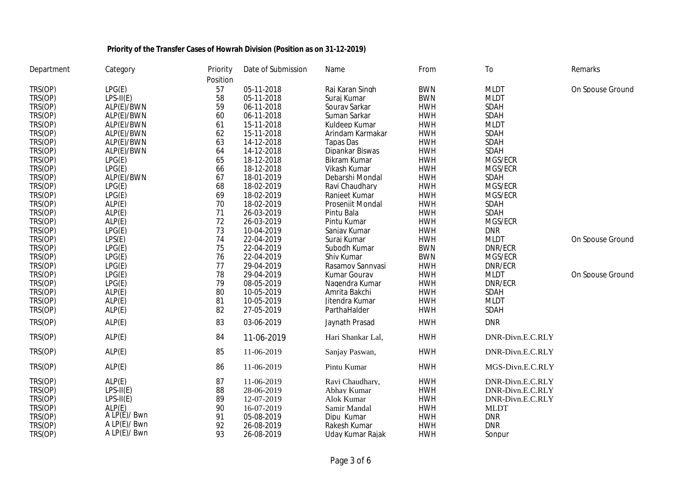| Department | Category     | Priority | Date of Submission | Name                | From       | To               | Remarks          |
|------------|--------------|----------|--------------------|---------------------|------------|------------------|------------------|
|            |              | Position |                    |                     |            |                  |                  |
| TRS(OP)    | LPG(E)       | 57       | 05-11-2018         | Raj Karan Singh     | <b>BWN</b> | <b>MLDT</b>      | On Spouse Ground |
| TRS(OP)    | $LPS-II(E)$  | 58       | 05-11-2018         | Suraj Kumar         | <b>BWN</b> | <b>MLDT</b>      |                  |
| TRS(OP)    | ALP(E)/BWN   | 59       | 06-11-2018         | Sourav Sarkar       | <b>HWH</b> | SDAH             |                  |
| TRS(OP)    | ALP(E)/BWN   | 60       | 06-11-2018         | Suman Sarkar        | <b>HWH</b> | SDAH             |                  |
| TRS(OP)    | ALP(E)/BWN   | 61       | 15-11-2018         | Kuldeep Kumar       | <b>HWH</b> | <b>MLDT</b>      |                  |
| TRS(OP)    | ALP(E)/BWN   | 62       | 15-11-2018         | Arindam Karmakar    | <b>HWH</b> | SDAH             |                  |
| TRS(OP)    | ALP(E)/BWN   | 63       | 14-12-2018         | Tapas Das           | <b>HWH</b> | SDAH             |                  |
| TRS(OP)    | ALP(E)/BWN   | 64       | 14-12-2018         | Dipankar Biswas     | <b>HWH</b> | SDAH             |                  |
| TRS(OP)    | LPG(E)       | 65       | 18-12-2018         | <b>Bikram Kumar</b> | <b>HWH</b> | MGS/ECR          |                  |
| TRS(OP)    | LPG(E)       | 66       | 18-12-2018         | Vikash Kumar        | <b>HWH</b> | MGS/ECR          |                  |
| TRS(OP)    | ALP(E)/BWN   | 67       | 18-01-2019         | Debarshi Mondal     | <b>HWH</b> | SDAH             |                  |
| TRS(OP)    | LPG(E)       | 68       | 18-02-2019         | Ravi Chaudhary      | <b>HWH</b> | MGS/ECR          |                  |
| TRS(OP)    | LPG(E)       | 69       | 18-02-2019         | Ranieet Kumar       | <b>HWH</b> | MGS/ECR          |                  |
| TRS(OP)    | ALP(E)       | 70       | 18-02-2019         | Proseniit Mondal    | <b>HWH</b> | SDAH             |                  |
| TRS(OP)    | ALP(E)       | 71       | 26-03-2019         | Pintu Bala          | <b>HWH</b> | SDAH             |                  |
| TRS(OP)    | ALP(E)       | 72       | 26-03-2019         | Pintu Kumar         | <b>HWH</b> | MGS/ECR          |                  |
| TRS(OP)    | LPG(E)       | 73       | 10-04-2019         | Sanjay Kumar        | <b>HWH</b> | <b>DNR</b>       |                  |
| TRS(OP)    | LPS(E)       | 74       | 22-04-2019         | Surai Kumar         | <b>HWH</b> | <b>MLDT</b>      | On Spouse Ground |
| TRS(OP)    | LPG(E)       | 75       | 22-04-2019         | Subodh Kumar        | <b>BWN</b> | DNR/ECR          |                  |
| TRS(OP)    | LPG(E)       | 76       | 22-04-2019         | Shiv Kumar          | <b>BWN</b> | MGS/ECR          |                  |
| TRS(OP)    | LPG(E)       | 77       | 29-04-2019         | Rasamoy Sannyasi    | <b>HWH</b> | DNR/ECR          |                  |
| TRS(OP)    | LPG(E)       | 78       | 29-04-2019         | Kumar Gourav        | <b>HWH</b> | <b>MLDT</b>      | On Spouse Ground |
| TRS(OP)    | LPG(E)       | 79       | 08-05-2019         | Nagendra Kumar      | <b>HWH</b> | DNR/ECR          |                  |
| TRS(OP)    | ALP(E)       | 80       | 10-05-2019         | Amrita Bakchi       | <b>HWH</b> | SDAH             |                  |
| TRS(OP)    | ALP(E)       | 81       | 10-05-2019         | Jitendra Kumar      | <b>HWH</b> | <b>MLDT</b>      |                  |
| TRS(OP)    | ALP(E)       | 82       | 27-05-2019         | ParthaHalder        | <b>HWH</b> | SDAH             |                  |
| TRS(OP)    | ALP(E)       | 83       | 03-06-2019         | Jaynath Prasad      | <b>HWH</b> | <b>DNR</b>       |                  |
| TRS(OP)    | ALP(E)       | 84       | 11-06-2019         | Hari Shankar Lal,   | <b>HWH</b> | DNR-Divn.E.C.RLY |                  |
| TRS(OP)    | ALP(E)       | 85       | 11-06-2019         | Sanjay Paswan,      | <b>HWH</b> | DNR-Divn.E.C.RLY |                  |
| TRS(OP)    | ALP(E)       | 86       | 11-06-2019         | Pintu Kumar         | <b>HWH</b> | MGS-Divn.E.C.RLY |                  |
| TRS(OP)    | ALP(E)       | 87       | 11-06-2019         | Ravi Chaudhary,     | <b>HWH</b> | DNR-Divn.E.C.RLY |                  |
| TRS(OP)    | $LPS-II(E)$  | 88       | 28-06-2019         | Abhay Kumar         | <b>HWH</b> | DNR-Divn.E.C.RLY |                  |
| TRS(OP)    | $LPS-II(E)$  | 89       | 12-07-2019         | Alok Kumar          | <b>HWH</b> | DNR-Divn.E.C.RLY |                  |
| TRS(OP)    | ALP(E)       | 90       | 16-07-2019         | Samir Mandal        | <b>HWH</b> | <b>MLDT</b>      |                  |
| TRS(OP)    | A LP(E)/Bwn  | 91       | 05-08-2019         | Dipu Kumar          | <b>HWH</b> | <b>DNR</b>       |                  |
| TRS(OP)    | A LP(E)/ Bwn | 92       | 26-08-2019         | Rakesh Kumar        | <b>HWH</b> | <b>DNR</b>       |                  |
| TRS(OP)    | A LP(E)/Bwn  | 93       | 26-08-2019         | Uday Kumar Rajak    | <b>HWH</b> | Sonpur           |                  |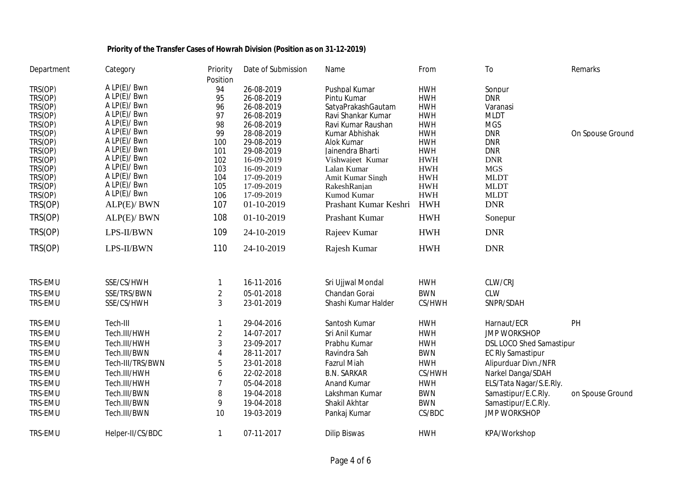| Department         | Category                    | Priority                | Date of Submission       | Name                        | From                     | To                              | Remarks          |
|--------------------|-----------------------------|-------------------------|--------------------------|-----------------------------|--------------------------|---------------------------------|------------------|
|                    |                             | Position                |                          |                             |                          |                                 |                  |
| TRS(OP)            | A LP(E)/ Bwn                | 94                      | 26-08-2019               | Pushpal Kumar               | <b>HWH</b>               | Sonpur                          |                  |
| TRS(OP)            | A LP(E)/Bwn                 | 95                      | 26-08-2019               | Pintu Kumar                 | <b>HWH</b>               | <b>DNR</b>                      |                  |
| TRS(OP)            | A LP(E)/ Bwn                | 96                      | 26-08-2019               | SatvaPrakashGautam          | <b>HWH</b>               | Varanasi                        |                  |
| TRS(OP)            | A LP(E)/ Bwn                | 97                      | 26-08-2019               | Ravi Shankar Kumar          | <b>HWH</b>               | <b>MLDT</b>                     |                  |
| TRS(OP)            | A LP(E)/ Bwn                | 98                      | 26-08-2019               | Ravi Kumar Raushan          | <b>HWH</b>               | <b>MGS</b>                      |                  |
| TRS(OP)            | A LP(E)/Bwn                 | 99                      | 28-08-2019               | Kumar Abhishak              | <b>HWH</b>               | <b>DNR</b>                      | On Spouse Ground |
| TRS(OP)            | A LP(E)/Bwn<br>A LP(E)/ Bwn | 100                     | 29-08-2019               | Alok Kumar                  | <b>HWH</b>               | <b>DNR</b>                      |                  |
| TRS(OP)            | A LP(E)/ Bwn                | 101                     | 29-08-2019               | Jainendra Bharti            | <b>HWH</b>               | <b>DNR</b>                      |                  |
| TRS(OP)            | A LP(E)/ Bwn                | 102                     | 16-09-2019               | Vishwajeet Kumar            | <b>HWH</b>               | <b>DNR</b>                      |                  |
| TRS(OP)            | A LP(E)/Bwn                 | 103                     | 16-09-2019               | Lalan Kumar                 | <b>HWH</b>               | <b>MGS</b>                      |                  |
| TRS(OP)            | A LP(E)/Bwn                 | 104                     | 17-09-2019               | Amit Kumar Singh            | <b>HWH</b>               | <b>MLDT</b>                     |                  |
| TRS(OP)<br>TRS(OP) | A LP(E)/ Bwn                | 105<br>106              | 17-09-2019<br>17-09-2019 | RakeshRanjan<br>Kumod Kumar | <b>HWH</b><br><b>HWH</b> | <b>MLDT</b><br><b>MLDT</b>      |                  |
|                    |                             |                         |                          | Prashant Kumar Keshri       |                          |                                 |                  |
| TRS(OP)            | ALP(E)/ BWN                 | 107                     | 01-10-2019               |                             | <b>HWH</b>               | <b>DNR</b>                      |                  |
| TRS(OP)            | ALP(E)/ BWN                 | 108                     | 01-10-2019               | Prashant Kumar              | <b>HWH</b>               | Sonepur                         |                  |
| TRS(OP)            | LPS-II/BWN                  | 109                     | 24-10-2019               | Rajeev Kumar                | <b>HWH</b>               | <b>DNR</b>                      |                  |
| TRS(OP)            | LPS-II/BWN                  | 110                     | 24-10-2019               | Rajesh Kumar                | <b>HWH</b>               | <b>DNR</b>                      |                  |
| TRS-EMU            | SSE/CS/HWH                  | 1                       | 16-11-2016               | Sri Ujjwal Mondal           | <b>HWH</b>               | CLW/CRJ                         |                  |
| TRS-EMU            | SSE/TRS/BWN                 | $\overline{c}$          | 05-01-2018               | Chandan Gorai               | <b>BWN</b>               | <b>CLW</b>                      |                  |
| TRS-EMU            | SSE/CS/HWH                  | 3                       | 23-01-2019               | Shashi Kumar Halder         | CS/HWH                   | SNPR/SDAH                       |                  |
| TRS-EMU            | Tech-III                    |                         | 29-04-2016               | Santosh Kumar               | <b>HWH</b>               | Harnaut/ECR                     | PH               |
| TRS-EMU            | Tech.III/HWH                | $\overline{\mathbf{c}}$ | 14-07-2017               | Sri Anil Kumar              | <b>HWH</b>               | <b>JMP WORKSHOP</b>             |                  |
| TRS-EMU            | Tech.III/HWH                | 3                       | 23-09-2017               | Prabhu Kumar                | <b>HWH</b>               | <b>DSL LOCO Shed Samastipur</b> |                  |
| TRS-EMU            | Tech.III/BWN                | 4                       | 28-11-2017               | Ravindra Sah                | <b>BWN</b>               |                                 |                  |
|                    |                             |                         |                          |                             |                          | <b>EC Rly Samastipur</b>        |                  |
| TRS-EMU            | Tech-III/TRS/BWN            | 5                       | 23-01-2018               | <b>Fazrul Miah</b>          | <b>HWH</b>               | Alipurduar Divn./NFR            |                  |
| TRS-EMU            | Tech.III/HWH                | 6                       | 22-02-2018               | <b>B.N. SARKAR</b>          | CS/HWH                   | Narkel Danga/SDAH               |                  |
| TRS-EMU            | Tech.III/HWH                | 7                       | 05-04-2018               | <b>Anand Kumar</b>          | <b>HWH</b>               | ELS/Tata Nagar/S.E.Rly.         |                  |
| TRS-EMU            | Tech.III/BWN                | 8                       | 19-04-2018               | Lakshman Kumar              | <b>BWN</b>               | Samastipur/E.C.Rly.             | on Spouse Ground |
| TRS-EMU            | Tech.III/BWN                | 9                       | 19-04-2018               | Shakil Akhtar               | <b>BWN</b>               | Samastipur/E.C.Rly.             |                  |
| TRS-EMU            | Tech.III/BWN                | 10                      | 19-03-2019               | Pankaj Kumar                | CS/BDC                   | <b>JMP WORKSHOP</b>             |                  |
| TRS-EMU            | Helper-II/CS/BDC            | $\mathbf{1}$            | 07-11-2017               | <b>Dilip Biswas</b>         | <b>HWH</b>               | KPA/Workshop                    |                  |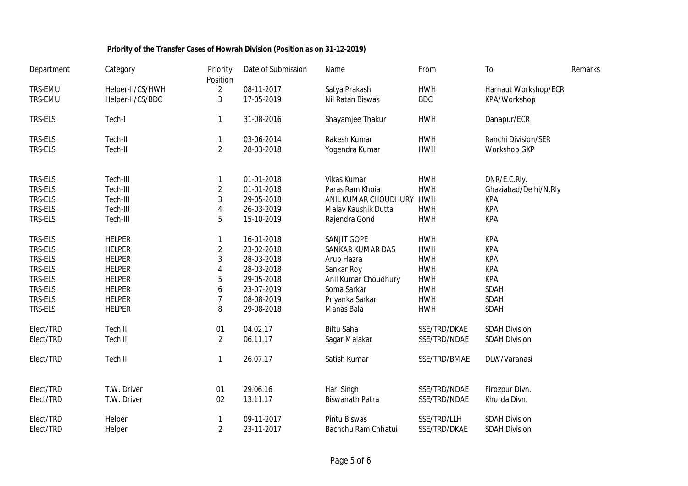| Department     | Category         | Priority<br>Position | Date of Submission | Name                   | From         | To                    | Remarks |
|----------------|------------------|----------------------|--------------------|------------------------|--------------|-----------------------|---------|
| TRS-EMU        | Helper-II/CS/HWH | $\overline{2}$       | 08-11-2017         | Satya Prakash          | <b>HWH</b>   | Harnaut Workshop/ECR  |         |
| TRS-EMU        | Helper-II/CS/BDC | 3                    | 17-05-2019         | Nil Ratan Biswas       | <b>BDC</b>   | KPA/Workshop          |         |
| TRS-ELS        | Tech-I           | $\mathbf{1}$         | 31-08-2016         | Shayamjee Thakur       | <b>HWH</b>   | Danapur/ECR           |         |
| TRS-ELS        | Tech-II          | 1                    | 03-06-2014         | Rakesh Kumar           | <b>HWH</b>   | Ranchi Division/SER   |         |
| TRS-ELS        | Tech-II          | $\overline{2}$       | 28-03-2018         | Yogendra Kumar         | <b>HWH</b>   | Workshop GKP          |         |
| TRS-ELS        | Tech-III         | 1                    | 01-01-2018         | Vikas Kumar            | <b>HWH</b>   | DNR/E.C.Rly.          |         |
| TRS-ELS        | Tech-III         | $\overline{2}$       | 01-01-2018         | Paras Ram Khoia        | <b>HWH</b>   | Ghaziabad/Delhi/N.Rly |         |
| TRS-ELS        | Tech-III         | $\mathfrak{Z}$       | 29-05-2018         | ANIL KUMAR CHOUDHURY   | <b>HWH</b>   | <b>KPA</b>            |         |
| TRS-ELS        | Tech-III         | 4                    | 26-03-2019         | Malav Kaushik Dutta    | <b>HWH</b>   | <b>KPA</b>            |         |
| TRS-ELS        | Tech-III         | 5                    | 15-10-2019         | Rajendra Gond          | <b>HWH</b>   | <b>KPA</b>            |         |
| TRS-ELS        | <b>HELPER</b>    | 1                    | 16-01-2018         | SANJIT GOPE            | <b>HWH</b>   | <b>KPA</b>            |         |
| TRS-ELS        | <b>HELPER</b>    | $\overline{2}$       | 23-02-2018         | SANKAR KUMAR DAS       | <b>HWH</b>   | <b>KPA</b>            |         |
| TRS-ELS        | <b>HELPER</b>    | 3                    | 28-03-2018         | Arup Hazra             | <b>HWH</b>   | <b>KPA</b>            |         |
| <b>TRS-ELS</b> | <b>HELPER</b>    | 4                    | 28-03-2018         | Sankar Roy             | <b>HWH</b>   | <b>KPA</b>            |         |
| <b>TRS-ELS</b> | <b>HELPER</b>    | 5                    | 29-05-2018         | Anil Kumar Choudhury   | <b>HWH</b>   | <b>KPA</b>            |         |
| TRS-ELS        | <b>HELPER</b>    | 6                    | 23-07-2019         | Soma Sarkar            | <b>HWH</b>   | SDAH                  |         |
| <b>TRS-ELS</b> | <b>HELPER</b>    | $\overline{7}$       | 08-08-2019         | Priyanka Sarkar        | <b>HWH</b>   | SDAH                  |         |
| <b>TRS-ELS</b> | <b>HELPER</b>    | 8                    | 29-08-2018         | Manas Bala             | <b>HWH</b>   | SDAH                  |         |
| Elect/TRD      | Tech III         | 01                   | 04.02.17           | Biltu Saha             | SSE/TRD/DKAE | <b>SDAH Division</b>  |         |
| Elect/TRD      | Tech III         | $\overline{2}$       | 06.11.17           | Sagar Malakar          | SSE/TRD/NDAE | <b>SDAH Division</b>  |         |
| Elect/TRD      | Tech II          | 1                    | 26.07.17           | Satish Kumar           | SSE/TRD/BMAE | DLW/Varanasi          |         |
| Elect/TRD      | T.W. Driver      | 01                   | 29.06.16           | Hari Singh             | SSE/TRD/NDAE | Firozpur Divn.        |         |
| Elect/TRD      | T.W. Driver      | 02                   | 13.11.17           | <b>Biswanath Patra</b> | SSE/TRD/NDAE | Khurda Divn.          |         |
| Elect/TRD      | Helper           | 1                    | 09-11-2017         | Pintu Biswas           | SSE/TRD/LLH  | <b>SDAH Division</b>  |         |
| Elect/TRD      | Helper           | $\overline{2}$       | 23-11-2017         | Bachchu Ram Chhatui    | SSE/TRD/DKAE | <b>SDAH Division</b>  |         |